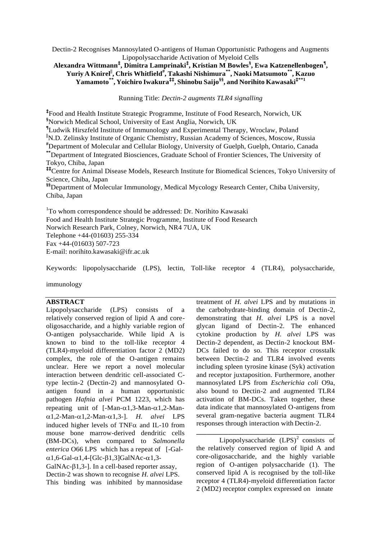Dectin-2 Recognises Mannosylated O-antigens of Human Opportunistic Pathogens and Augments Lipopolysaccharide Activation of Myeloid Cells

**Alexandra Wittmann‡ , Dimitra Lamprinaki‡ , Kristian M Bowles§ , Ewa Katzenellenbogen¶ , Yuriy A Knirel|| , Chris Whitfield# , Takashi Nishimura\*\* , Naoki Matsumoto\*\* , Kazuo Yamamoto\*\* , Yoichiro Iwakura‡‡ , Shinobu Saijo§§ , and Norihito Kawasaki‡\*\*1**

Running Title: *Dectin-2 augments TLR4 signalling*

**‡** Food and Health Institute Strategic Programme, Institute of Food Research, Norwich, UK **§**Norwich Medical School, University of East Anglia, Norwich, UK **¶** Ludwik Hirszfeld Institute of Immunology and Experimental Therapy, Wroclaw, Poland **||**N.D. Zelinsky Institute of Organic Chemistry, Russian Academy of Sciences, Moscow, Russia **#**Department of Molecular and Cellular Biology, University of Guelph, Guelph, Ontario, Canada **\*\***Department of Integrated Biosciences, Graduate School of Frontier Sciences, The University of Tokyo, Chiba, Japan **‡‡**Centre for Animal Disease Models, Research Institute for Biomedical Sciences, Tokyo University of Science, Chiba, Japan **§§**Department of Molecular Immunology, Medical Mycology Research Center, Chiba University, Chiba, Japan <sup>1</sup>To whom correspondence should be addressed: Dr. Norihito Kawasaki

Food and Health Institute Strategic Programme, Institute of Food Research Norwich Research Park, Colney, Norwich, NR4 7UA, UK Telephone +44-(01603) 255-334 Fax +44-(01603) 507-723 E-mail: [norihito.kawasaki@ifr.ac.uk](mailto:norihito.kawasaki@ifr.ac.uk)

Keywords: lipopolysaccharide (LPS), lectin, Toll-like receptor 4 (TLR4), polysaccharide,

immunology

# **ABSTRACT**

Lipopolysaccharide (LPS) consists of a relatively conserved region of lipid A and coreoligosaccharide, and a highly variable region of O-antigen polysaccharide. While lipid A is known to bind to the toll-like receptor 4 (TLR4)-myeloid differentiation factor 2 (MD2) complex, the role of the O-antigen remains unclear. Here we report a novel molecular interaction between dendritic cell-associated Ctype lectin-2 (Dectin-2) and mannosylated Oantigen found in a human opportunistic pathogen *Hafnia alvei* PCM 1223, which has repeating unit of  $[-Man-\alpha 1,3-Man-\alpha 1,2-Man \alpha$ 1,2-Man- $\alpha$ 1,2-Man- $\alpha$ 1,3-]. *H. alvei* LPS induced higher levels of TNF $\alpha$  and IL-10 from mouse bone marrow-derived dendritic cells (BM-DCs), when compared to *Salmonella enterica* O66 LPS which has a repeat of [-Gal-  $\alpha$ 1,6-Gal- $\alpha$ 1,4-[Glc- $\beta$ 1,3]GalNAc- $\alpha$ 1,3-GalNAc- $\beta$ 1,3-]. In a cell-based reporter assay, Dectin-2 was shown to recognise *H. alvei* LPS. This binding was inhibited by mannosidase

treatment of *H. alvei* LPS and by mutations in the carbohydrate-binding domain of Dectin-2, demonstrating that *H. alvei* LPS is a novel glycan ligand of Dectin-2. The enhanced cytokine production by *H. alvei* LPS was Dectin-2 dependent, as Dectin-2 knockout BM-DCs failed to do so. This receptor crosstalk between Dectin-2 and TLR4 involved events including spleen tyrosine kinase (Syk) activation and receptor juxtaposition. Furthermore, another mannosylated LPS from *Escherichia coli* O9a, also bound to Dectin-2 and augmented TLR4 activation of BM-DCs. Taken together, these data indicate that mannosylated O-antigens from several gram-negative bacteria augment TLR4 responses through interaction with Dectin-2.

Lipopolysaccharide  $(LPS)^2$  consists of the relatively conserved region of lipid A and core-oligosaccharide, and the highly variable region of O-antigen polysaccharide (1). The conserved lipid A is recognised by the toll-like receptor 4 (TLR4)-myeloid differentiation factor 2 (MD2) receptor complex expressed on innate

**\_\_\_\_\_\_\_\_\_\_\_\_\_\_\_\_\_\_\_\_\_\_\_\_\_\_\_\_\_\_\_\_\_\_\_\_\_\_\_**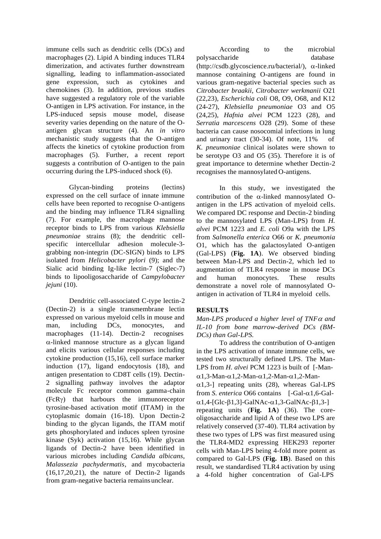immune cells such as dendritic cells (DCs) and macrophages (2). Lipid A binding induces TLR4 dimerization, and activates further downstream signalling, leading to inflammation-associated gene expression, such as cytokines and chemokines (3). In addition, previous studies have suggested a regulatory role of the variable O-antigen in LPS activation. For instance, in the LPS-induced sepsis mouse model, disease severity varies depending on the nature of the Oantigen glycan structure (4). An *in vitro*  mechanistic study suggests that the O-antigen affects the kinetics of cytokine production from macrophages (5). Further, a recent report suggests a contribution of O-antigen to the pain occurring during the LPS-induced shock (6).

Glycan-binding proteins (lectins) expressed on the cell surface of innate immune cells have been reported to recognise O-antigens and the binding may influence TLR4 signalling (7). For example, the macrophage mannose receptor binds to LPS from various *Klebsiella pneumoniae* strains (8); the dendritic cellspecific intercellular adhesion molecule-3 grabbing non-integrin (DC-SIGN) binds to LPS isolated from *Helicobacter pylori* (9); and the Sialic acid binding Ig-like lectin-7 (Siglec-7) binds to lipooligosaccharide of *Campylobacter jejuni* (10).

Dendritic cell-associated C-type lectin-2 (Dectin-2) is a single transmembrane lectin expressed on various myeloid cells in mouse and man, including DCs, monocytes, and macrophages (11-14). Dectin-2 recognises  $\alpha$ -linked mannose structure as a glycan ligand and elicits various cellular responses including cytokine production (15,16), cell surface marker induction (17), ligand endocytosis (18), and antigen presentation to CD8T cells (19). Dectin-2 signalling pathway involves the adaptor molecule Fc receptor common gamma-chain  $(FcR\gamma)$  that harbours the immunoreceptor tyrosine-based activation motif (ITAM) in the cytoplasmic domain (16-18). Upon Dectin-2 binding to the glycan ligands, the ITAM motif gets phosphorylated and induces spleen tyrosine kinase (Syk) activation (15,16). While glycan ligands of Dectin-2 have been identified in various microbes including *Candida albicans*, *Malassezia pachydermatis*, and mycobacteria  $(16,17,20,21)$ , the nature of Dectin-2 ligands from gram-negative bacteria remainsunclear.

According to the microbial polysaccharide database  $(\text{http://csdb.glycoscience.ru/bacterial/}), \alpha\text{-linked}$ mannose containing O-antigens are found in various gram-negative bacterial species such as *Citrobacter braakii, Citrobacter werkmanii* O21 (22,23), *Escherichia coli* O8, O9, O68, and K12 (24-27), *Klebsiella pneumoniae* O3 and O5 (24,25), *Hafnia alvei* PCM 1223 (28), and *Serratia marcescens* O28 (29). Some of these bacteria can cause nosocomial infections in lung and urinary tract (30-34). Of note, 11% of *K. pneumoniae* clinical isolates were shown to be serotype O3 and O5 (35). Therefore it is of great importance to determine whether Dectin-2 recognises the mannosylated O-antigens.

In this study, we investigated the contribution of the  $\alpha$ -linked mannosylated Oantigen in the LPS activation of myeloid cells. We compared DC response and Dectin-2 binding to the mannosylated LPS (Man-LPS) from *H. alvei* PCM 1223 and *E. coli* O9a with the LPS from *Salmonella enterica* O66 or *K. pneumonia*  O1, which has the galactosylated O-antigen (Gal-LPS) (**Fig. 1A**). We observed binding between Man-LPS and Dectin-2, which led to augmentation of TLR4 response in mouse DCs and human monocytes. These results demonstrate a novel role of mannosylated Oantigen in activation of TLR4 in myeloid cells.

# **RESULTS**

*Man-LPS produced a higher level of TNF and IL-10 from bone marrow-derived DCs (BM-DCs) than Gal-LPS.*

To address the contribution of O-antigen in the LPS activation of innate immune cells, we tested two structurally defined LPS. The Man-LPS from *H. alvei* PCM 1223 is built of [-Man-  $\alpha$ 1,3-Man- $\alpha$ 1,2-Man- $\alpha$ 1,2-Man- $\alpha$ 1,2-Man- $\alpha$ 1,3-] repeating units (28), whereas Gal-LPS from *S. enterica* O66 contains  $[-Gal-\alpha 1, 6-Gal \alpha$ 1,4-[Glc- $\beta$ 1,3]-GalNAc- $\alpha$ 1,3-GalNAc- $\beta$ 1,3-] repeating units (**Fig. 1A**) (36). The coreoligosaccharide and lipid A of these two LPS are relatively conserved (37-40). TLR4 activation by these two types of LPS was first measured using the TLR4-MD2 expressing HEK293 reporter cells with Man-LPS being 4-fold more potent as compared to Gal-LPS (**Fig. 1B**). Based on this result, we standardised TLR4 activation by using a 4-fold higher concentration of Gal-LPS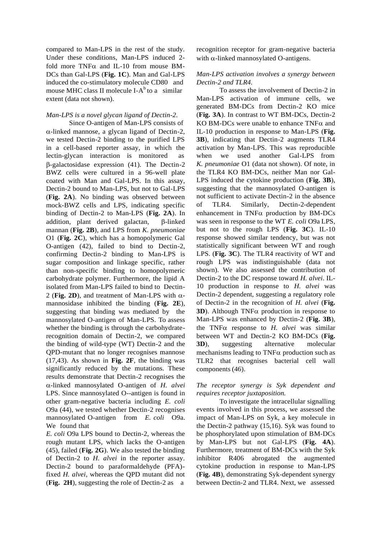compared to Man-LPS in the rest of the study. Under these conditions, Man-LPS induced 2 fold more  $TNF\alpha$  and IL-10 from mouse BM-DCs than Gal-LPS (**Fig. 1C**). Man and Gal-LPS induced the co-stimulatory molecule CD80 and mouse MHC class II molecule  $I-A^b$  to a similar extent (data not shown).

## *Man-LPS is a novel glycan ligand of Dectin-2.*

Since O-antigen of Man-LPS consists of  $\alpha$ -linked mannose, a glycan ligand of Dectin-2, we tested Dectin-2 binding to the purified LPS in a cell-based reporter assay, in which the lectin-glycan interaction is monitored as  $\beta$ -galactosidase expression (41). The Dectin-2 BWZ cells were cultured in a 96-well plate coated with Man and Gal-LPS. In this assay, Dectin-2 bound to Man-LPS, but not to Gal-LPS (**Fig. 2A**). No binding was observed between mock-BWZ cells and LPS, indicating specific binding of Dectin-2 to Man-LPS (**Fig. 2A**). In addition, plant derived galactan,  $\beta$ -linked mannan (**Fig. 2B**), and LPS from *K. pneumoniae*  O1 (**Fig. 2C**), which has a homopolymeric Gal O-antigen (42), failed to bind to Dectin-2, confirming Dectin-2 binding to Man-LPS is sugar composition and linkage specific, rather than non-specific binding to homopolymeric carbohydrate polymer. Furthermore, the lipid A isolated from Man-LPS failed to bind to Dectin-2 (**Fig. 2D**), and treatment of Man-LPS with  $\alpha$ mannosidase inhibited the binding (**Fig. 2E**), suggesting that binding was mediated by the mannosylated O-antigen of Man-LPS. To assess whether the binding is through the carbohydraterecognition domain of Dectin-2, we compared the binding of wild-type (WT) Dectin-2 and the QPD-mutant that no longer recognises mannose (17,43). As shown in **Fig. 2F**, the binding was significantly reduced by the mutations. These results demonstrate that Dectin-2 recognises the -linked mannosylated O-antigen of *H. alvei*  LPS. Since mannosylated O--antigen is found in other gram-negative bacteria including *E. coli*  O9a (44), we tested whether Dectin-2 recognises mannosylated O-antigen from *E. coli* O9a. We found that

*E. coli* O9a LPS bound to Dectin-2, whereas the rough mutant LPS, which lacks the O-antigen (45), failed (**Fig. 2G**). We also tested the binding of Dectin-2 to *H. alvei* in the reporter assay. Dectin-2 bound to paraformaldehyde (PFA) fixed *H. alvei*, whereas the QPD mutant did not (**Fig. 2H**), suggesting the role of Dectin-2 as a

recognition receptor for gram-negative bacteria with  $\alpha$ -linked mannosylated O-antigens.

### *Man-LPS activation involves a synergy between Dectin-2 and TLR4.*

To assess the involvement of Dectin-2 in Man-LPS activation of immune cells, we generated BM-DCs from Dectin-2 KO mice (**Fig. 3A**). In contrast to WT BM-DCs, Dectin-2 KO BM-DCs were unable to enhance  $TNF\alpha$  and IL-10 production in response to Man-LPS (**Fig. 3B**), indicating that Dectin-2 augments TLR4 activation by Man-LPS. This was reproducible when we used another Gal-LPS from *K. pneumoniae* O1 (data not shown). Of note, in the TLR4 KO BM-DCs, neither Man nor Gal-LPS induced the cytokine production (**Fig. 3B**), suggesting that the mannosylated O-antigen is not sufficient to activate Dectin-2 in the absence of TLR4. Similarly, Dectin-2-dependent enhancement in  $TNF\alpha$  production by BM-DCs was seen in response to the WT *E. coli* O9a LPS, but not to the rough LPS (**Fig. 3C**). IL-10 response showed similar tendency, but was not statistically significant between WT and rough LPS. (**Fig. 3C**). The TLR4 reactivity of WT and rough LPS was indistinguishable (data not shown). We also assessed the contribution of Dectin-2 to the DC response toward *H. alvei*. IL-10 production in response to *H. alvei* was Dectin-2 dependent, suggesting a regulatory role of Dectin-2 in the recognition of *H. alvei* (**Fig. 3D**). Although TNF $\alpha$  production in response to Man-LPS was enhanced by Dectin-2 (**Fig. 3B**), the TNF $\alpha$  response to *H. alvei* was similar between WT and Dectin-2 KO BM-DCs (**Fig. 3D**), suggesting alternative molecular mechanisms leading to  $TNF\alpha$  production such as TLR2 that recognises bacterial cell wall components (46).

### *The receptor synergy is Syk dependent and requires receptor juxtaposition.*

To investigate the intracellular signalling events involved in this process, we assessed the impact of Man-LPS on Syk, a key molecule in the Dectin-2 pathway (15,16). Syk was found to be phosphorylated upon stimulation of BM-DCs by Man-LPS but not Gal-LPS (**Fig. 4A**). Furthermore, treatment of BM-DCs with the Syk inhibitor R406 abrogated the augmented cytokine production in response to Man-LPS (**Fig. 4B**), demonstrating Syk-dependent synergy between Dectin-2 and TLR4. Next, we assessed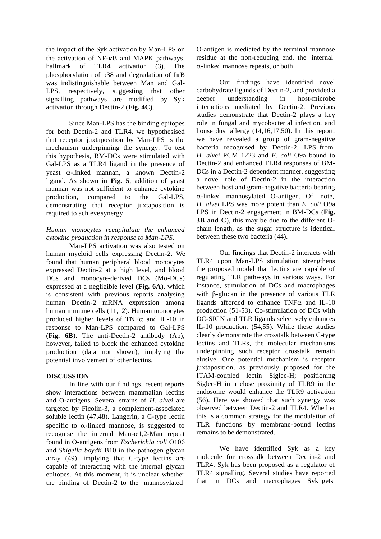the impact of the Syk activation by Man-LPS on the activation of  $NF$ - $\kappa$ B and MAPK pathways, hallmark of TLR4 activation (3). The phosphorylation of p38 and degradation of  $I \kappa B$ was indistinguishable between Man and Gal-LPS, respectively, suggesting that other signalling pathways are modified by Syk activation through Dectin-2 (**Fig. 4C)**.

Since Man-LPS has the binding epitopes for both Dectin-2 and TLR4, we hypothesised that receptor juxtaposition by Man-LPS is the mechanism underpinning the synergy. To test this hypothesis, BM-DCs were stimulated with Gal-LPS as a TLR4 ligand in the presence of yeast  $\alpha$ -linked mannan, a known Dectin-2 ligand. As shown in **Fig. 5**, addition of yeast mannan was not sufficient to enhance cytokine production, compared to the Gal-LPS, demonstrating that receptor juxtaposition is required to achieve synergy.

# *Human monocytes recapitulate the enhanced cytokine production in response to Man-LPS.*

Man-LPS activation was also tested on human myeloid cells expressing Dectin-2. We found that human peripheral blood monocytes expressed Dectin-2 at a high level, and blood DCs and monocyte-derived DCs (Mo-DCs) expressed at a negligible level (**Fig. 6A**), which is consistent with previous reports analysing human Dectin-2 mRNA expression among human immune cells (11,12). Human monocytes produced higher levels of TNF $\alpha$  and IL-10 in response to Man-LPS compared to Gal-LPS (**Fig. 6B**). The anti-Dectin-2 antibody (Ab), however, failed to block the enhanced cytokine production (data not shown), implying the potential involvement of otherlectins.

# **DISCUSSION**

In line with our findings, recent reports show interactions between mammalian lectins and O-antigens. Several strains of *H. alvei* are targeted by Ficolin-3, a complement-associated soluble lectin (47,48). Langerin, a C-type lectin specific to  $\alpha$ -linked mannose, is suggested to recognise the internal Man- $\alpha$ 1,2-Man repeat found in O-antigens from *Escherichia coli* O106 and *Shigella boydii* B10 in the pathogen glycan array (49), implying that C-type lectins are capable of interacting with the internal glycan epitopes. At this moment, it is unclear whether the binding of Dectin-2 to the mannosylated

O-antigen is mediated by the terminal mannose residue at the non-reducing end, the internal  $\alpha$ -linked mannose repeats, or both.

Our findings have identified novel carbohydrate ligands of Dectin-2, and provided a deeper understanding in host-microbe interactions mediated by Dectin-2. Previous studies demonstrate that Dectin-2 plays a key role in fungal and mycobacterial infection, and house dust allergy (14,16,17,50). In this report, we have revealed a group of gram-negative bacteria recognised by Dectin-2. LPS from *H. alvei* PCM 1223 and *E. coli* O9a bound to Dectin-2 and enhanced TLR4 responses of BM-DCs in a Dectin-2 dependent manner, suggesting a novel role of Dectin-2 in the interaction between host and gram-negative bacteria bearing  $\alpha$ -linked mannosylated O-antigen. Of note, *H. alvei* LPS was more potent than *E. coli* O9a LPS in Dectin-2 engagement in BM-DCs (**Fig. 3B and C**), this may be due to the different Ochain length, as the sugar structure is identical between these two bacteria (44).

Our findings that Dectin-2 interacts with TLR4 upon Man-LPS stimulation strengthens the proposed model that lectins are capable of regulating TLR pathways in various ways. For instance, stimulation of DCs and macrophages with  $\beta$ -glucan in the presence of various TLR ligands afforded to enhance  $TNF\alpha$  and IL-10 production (51-53). Co-stimulation of DCs with DC-SIGN and TLR ligands selectively enhances IL-10 production. (54,55). While these studies clearly demonstrate the crosstalk between C-type lectins and TLRs, the molecular mechanisms underpinning such receptor crosstalk remain elusive. One potential mechanism is receptor juxtaposition, as previously proposed for the ITAM-coupled lectin Siglec-H; positioning Siglec-H in a close proximity of TLR9 in the endosome would enhance the TLR9 activation (56). Here we showed that such synergy was observed between Dectin-2 and TLR4. Whether this is a common strategy for the modulation of TLR functions by membrane-bound lectins remains to be demonstrated.

We have identified Syk as a key molecule for crosstalk between Dectin-2 and TLR4. Syk has been proposed as a regulator of TLR4 signalling. Several studies have reported that in DCs and macrophages Syk gets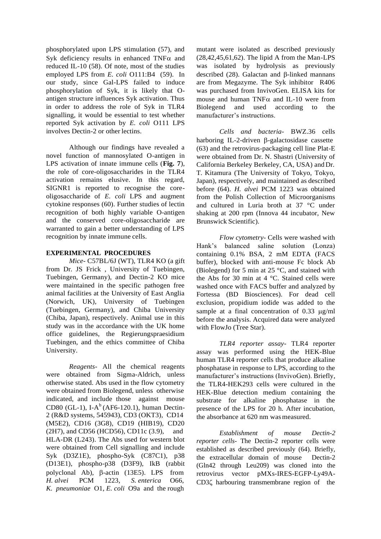phosphorylated upon LPS stimulation (57), and Syk deficiency results in enhanced  $TNF\alpha$  and reduced IL-10 (58). Of note, most of the studies employed LPS from *E. coli* O111:B4 (59). In our study, since Gal-LPS failed to induce phosphorylation of Syk, it is likely that Oantigen structure influences Syk activation. Thus in order to address the role of Syk in TLR4 signalling, it would be essential to test whether reported Syk activation by *E. coli* O111 LPS involves Dectin-2 or other lectins.

Although our findings have revealed a novel function of mannosylated O-antigen in LPS activation of innate immune cells (**Fig. 7**), the role of core-oligosaccharides in the TLR4 activation remains elusive. In this regard, SIGNR1 is reported to recognise the coreoligosaccharide of *E. coli* LPS and augment cytokine responses (60). Further studies of lectin recognition of both highly variable O-antigen and the conserved core-oligosaccharide are warranted to gain a better understanding of LPS recognition by innate immune cells.

### **EXPERIMENTAL PROCEDURES**

*Mice-* C57BL/6J (WT), TLR4 KO (a gift from Dr. JS Frick , University of Tuebingen, Tuebingen, Germany), and Dectin-2 KO mice were maintained in the specific pathogen free animal facilities at the University of East Anglia (Norwich, UK), University of Tuebingen (Tuebingen, Germany), and Chiba University (Chiba, Japan), respectively. Animal use in this study was in the accordance with the UK home office guidelines, the Regierungspraesidium Tuebingen, and the ethics committee of Chiba University.

*Reagents-* All the chemical reagents were obtained from Sigma-Aldrich, unless otherwise stated. Abs used in the flow cytometry were obtained from Biolegend, unless otherwise indicated, and include those against mouse CD80 (GL-1), I- $A^b$  (AF6-120.1), human Dectin-2 (R&D systems, 545943), CD3 (OKT3), CD14 (M5E2), CD16 (3G8), CD19 (HIB19), CD20 (2H7), and CD56 (HCD56), CD11c (3.9), and HLA-DR (L243). The Abs used for western blot were obtained from Cell signalling and include Syk (D3Z1E), phospho-Syk (C87C1), p38 (D13E1), phospho-p38 (D3F9), IkB (rabbit polyclonal Ab),  $\beta$ -actin (13E5). LPS from *H. alvei* PCM 1223, *S. enterica* O66, *K. pneumoniae* O1, *E. coli* O9a and the rough

mutant were isolated as described previously (28,42,45,61,62). The lipid A from the Man-LPS was isolated by hydrolysis as previously described  $(28)$ . Galactan and  $\beta$ -linked mannans are from Megazyme. The Syk inhibitor R406 was purchased from InvivoGen. ELISA kits for mouse and human TNF $\alpha$  and IL-10 were from Biolegend and used according to the manufacturer's instructions.

*Cells and bacteria-* BWZ.36 cells harboring IL-2-driven  $\beta$ -galactosidase cassette (63) and the retrovirus-packaging cell line Plat-E were obtained from Dr. N. Shastri (University of California Berkeley Berkeley, CA, USA) and Dr. T. Kitamura (The University of Tokyo, Tokyo, Japan), respectively, and maintained as described before (64). *H. alvei* PCM 1223 was obtained from the Polish Collection of Microorganisms and cultured in Luria broth at 37 °C under shaking at 200 rpm (Innova 44 incubator, New Brunswick Scientific).

*Flow cytometry-* Cells were washed with Hank's balanced saline solution (Lonza) containing 0.1% BSA, 2 mM EDTA (FACS buffer), blocked with anti-mouse Fc block Ab (Biolegend) for 5 min at 25 °C, and stained with the Abs for 30 min at  $4^{\circ}$ C. Stained cells were washed once with FACS buffer and analyzed by Fortessa (BD Biosciences). For dead cell exclusion, propidium iodide was added to the sample at a final concentration of  $0.33 \mu g/ml$ before the analysis. Acquired data were analyzed with FlowJo (Tree Star).

*TLR4 reporter assay-* TLR4 reporter assay was performed using the HEK-Blue human TLR4 reporter cells that produce alkaline phosphatase in response to LPS, according to the manufacturer's instructions (InvivoGen). Briefly, the TLR4-HEK293 cells were cultured in the HEK-Blue detection medium containing the substrate for alkaline phosphatase in the presence of the LPS for 20 h. After incubation, the absorbance at 620 nm was measured.

*Establishment of mouse Dectin-2 reporter cells-* The Dectin-2 reporter cells were established as described previously (64). Briefly, the extracellular domain of mouse Dectin-2 (Gln42 through Leu209) was cloned into the retrovirus vector pMXs-IRES-EGFP-Ly49A-CD3 $\zeta$  harbouring transmembrane region of the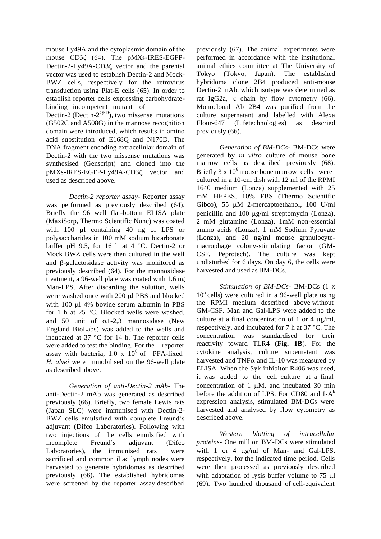mouse Ly49A and the cytoplasmic domain of the mouse CD3ζ (64). The pMXs-IRES-EGFP-Dectin-2-Ly49A-CD3ζ vector and the parental vector was used to establish Dectin-2 and Mock-BWZ cells, respectively for the retrovirus transduction using Plat-E cells (65). In order to establish reporter cells expressing carbohydratebinding incompetent mutant of Dectin-2 (Dectin-2<sup>QPD</sup>), two missense mutations (G502C and A508G) in the mannose recognition

domain were introduced, which results in amino acid substitution of E168Q and N170D. The DNA fragment encoding extracellular domain of Dectin-2 with the two missense mutations was synthesised (Genscript) and cloned into the pMXs-IRES-EGFP-Ly49A-CD3 $\zeta$  vector and used as described above.

*Dectin-2 reporter assay-* Reporter assay was performed as previously described  $(64)$ . Briefly the 96 well flat-bottom ELISA plate (MaxiSorp, Thermo Scientific Nunc) was coated with  $100 \text{ µ}$  containing  $40 \text{ ng}$  of LPS or polysaccharides in 100 mM sodium bicarbonate buffer pH 9.5, for 16 h at 4  $\degree$ C. Dectin-2 or Mock BWZ cells were then cultured in the well and  $\beta$ -galactosidase activity was monitored as previously described (64). For the mannosidase treatment, a 96-well plate was coated with 1.6 ng Man-LPS. After discarding the solution, wells were washed once with 200 µl PBS and blocked with  $100 \mu l$  4% bovine serum albumin in PBS for 1 h at 25 °C. Blocked wells were washed, and 50 unit of  $\alpha$ 1-2,3 mannosidase (New England BioLabs) was added to the wells and incubated at 37 °C for 14 h. The reporter cells were added to test the binding. For the reporter assay with bacteria,  $1.0 \times 10^6$  of PFA-fixed *H. alvei* were immobilised on the 96-well plate as described above.

*Generation of anti-Dectin-2 mAb-* The anti-Dectin-2 mAb was generated as described previously (66). Briefly, two female Lewis rats (Japan SLC) were immunised with Dectin-2- BWZ cells emulsified with complete Freund's adjuvant (Difco Laboratories). Following with two injections of the cells emulsified with incomplete Freund's adjuvant (Difco Laboratories), the immunised rats were sacrificed and common iliac lymph nodes were harvested to generate hybridomas as described previously (66). The established hybridomas were screened by the reporter assay described previously (67). The animal experiments were performed in accordance with the institutional animal ethics committee at The University of Tokyo (Tokyo, Japan). The established hybridoma clone 2B4 produced anti-mouse Dectin-2 mAb, which isotype was determined as rat IgG2a,  $\kappa$  chain by flow cytometry (66). Monoclonal Ab 2B4 was purified from the culture supernatant and labelled with Alexa Flour-647 (Lifetechnologies) as descried previously (66).

*Generation of BM-DCs-* BM-DCs were generated by *in vitro* culture of mouse bone marrow cells as described previously  $(68)$ . Briefly  $3 \times 10^6$  mouse bone marrow cells were cultured in a 10-cm dish with 12 ml of the RPMI 1640 medium (Lonza) supplemented with 25 mM HEPES, 10% FBS (Thermo Scientific Gibco), 55 µM 2-mercaptoethanol, 100 U/ml penicillin and 100  $\mu$ g/ml streptomycin (Lonza), 2 mM glutamine (Lonza), 1mM non-essential amino acids (Lonza), 1 mM Sodium Pyruvate (Lonza), and 20 ng/ml mouse granulocytemacrophage colony-stimulating factor (GM-CSF, Peprotech). The culture was kept undisturbed for 6 days. On day 6, the cells were harvested and used as BM-DCs.

*Stimulation of BM-DCs-* BM-DCs (1 x  $10<sup>5</sup>$  cells) were cultured in a 96-well plate using the RPMI medium described above without GM-CSF. Man and Gal-LPS were added to the culture at a final concentration of 1 or 4  $\mu$ g/ml, respectively, and incubated for 7 h at 37 °C. The concentration was standardised for their reactivity toward TLR4 (**Fig. 1B**). For the cytokine analysis, culture supernatant was harvested and  $TNF\alpha$  and IL-10 was measured by ELISA. When the Syk inhibitor R406 was used, it was added to the cell culture at a final concentration of 1  $\mu$ M, and incubated 30 min before the addition of LPS. For CD80 and  $I-A^b$ expression analysis, stimulated BM-DCs were harvested and analysed by flow cytometry as described above.

*Western blotting of intracellular proteins-* One million BM-DCs were stimulated with 1 or 4  $\mu$ g/ml of Man- and Gal-LPS, respectively, for the indicated time period. Cells were then processed as previously described with adaptation of lysis buffer volume to  $75 \text{ µl}$ (69). Two hundred thousand of cell-equivalent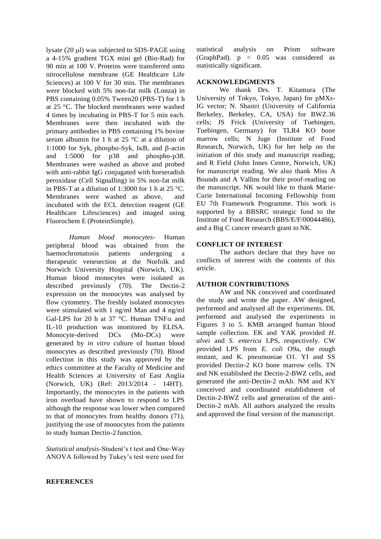lysate  $(20 \mu l)$  was subjected to SDS-PAGE using a 4-15% gradient TGX mini gel (Bio-Rad) for 90 min at 100 V. Proteins were transferred onto nitrocellulose membrane (GE Healthcare Life Sciences) at 100 V for 30 min. The membranes were blocked with 5% non-fat milk (Lonza) in PBS containing 0.05% Tween20 (PBS-T) for 1 h at 25 °C. The blocked membranes were washed 4 times by incubating in PBS-T for 5 min each. Membranes were then incubated with the primary antibodies in PBS containing 1% bovine serum albumin for 1 h at 25 °C at a dilution of 1:1000 for Syk, phospho-Syk, I $\kappa$ B, and  $\beta$ -actin and 1:5000 for p38 and phospho-p38. Membranes were washed as above and probed with anti-rabbit IgG conjugated with horseradish peroxidase (Cell Signalling) in 5% non-fat milk in PBS-T at a dilution of 1:3000 for 1 h at 25 °C. Membranes were washed as above, and incubated with the ECL detection reagent (GE Healthcare Lifesciences) and imaged using Fluorochem E (ProteinSimple).

*Human blood monocytes-* Human peripheral blood was obtained from the haemochromatosis patients undergoing a therapeutic venesection at the Norfolk and Norwich University Hospital (Norwich, UK). Human blood monocytes were isolated as described previously (70). The Dectin-2 expression on the monocytes was analysed by flow cytometry. The freshly isolated monocytes were stimulated with 1 ng/ml Man and 4 ng/ml Gal-LPS for 20 h at 37 °C. Human TNF $\alpha$  and IL-10 production was monitored by ELISA. Monocyte-derived DCs (Mo-DCs) were generated by *in vitro* culture of human blood monocytes as described previously (70). Blood collection in this study was approved by the ethics committee at the Faculty of Medicine and Health Sciences at University of East Anglia (Norwich, UK) (Ref: 2013/2014 - 14HT). Importantly, the monocytes in the patients with iron overload have shown to respond to LPS although the response was lower when compared to that of monocytes from healthy donors (71), justifying the use of monocytes from the patients to study human Dectin-2 function.

*Statistical analysis-*Student's t test and One-Way ANOVA followed by Tukey's test were used for

### **REFERENCES**

statistical analysis on Prism software (GraphPad).  $p \leq 0.05$  was considered as statistically significant.

### **ACKNOWLEDGMENTS**

We thank Drs. T. Kitamura (The University of Tokyo, Tokyo, Japan) for pMXs-IG vector; N. Shastri (University of California Berkeley, Berkeley, CA, USA) for BWZ.36 cells; JS Frick (University of Tuebingen, Tuebingen, Germany) for TLR4 KO bone marrow cells; N Juge (Institute of Food Research, Norwich, UK) for her help on the initiation of this study and manuscript reading; and R Field (John Innes Centre, Norwich, UK) for manuscript reading. We also thank Miss A Bounds and A Vallins for their proof-reading on the manuscript. NK would like to thank Marie-Curie International Incoming Fellowship from EU 7th Framework Programme. This work is supported by a BBSRC strategic fund to the Institute of Food Research (BBS/E/F/00044486), and a Big C cancer research grant to NK.

### **CONFLICT OF INTEREST**

The authors declare that they have no conflicts of interest with the contents of this article.

#### **AUTHOR CONTRIBUTIONS**

AW and NK conceived and coordinated the study and wrote the paper. AW designed, performed and analysed all the experiments. DL performed and analysed the experiments in Figures 3 to 5. KMB arranged human blood sample collection. EK and YAK provided *H. alvei* and *S. enterica* LPS, respectively. CW provided LPS from *E. coli* O9a, the rough mutant, and K. pneumoniae O1. YI and SS provided Dectin-2 KO bone marrow cells. TN and NK established the Dectin-2-BWZ cells, and generated the anti-Dectin-2 mAb. NM and KY conceived and coordinated establishment of Dectin-2-BWZ cells and generation of the anti-Dectin-2 mAb. All authors analyzed the results and approved the final version of the manuscript.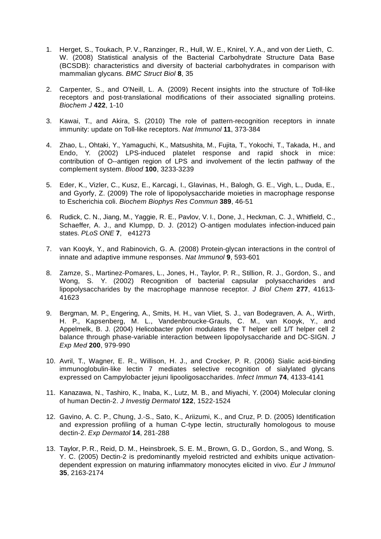- 1. Herget, S., Toukach, P. V., Ranzinger, R., Hull, W. E., Knirel, Y. A., and von der Lieth, C. W. (2008) Statistical analysis of the Bacterial Carbohydrate Structure Data Base (BCSDB): characteristics and diversity of bacterial carbohydrates in comparison with mammalian glycans. *BMC Struct Biol* **8**, 35
- 2. Carpenter, S., and O'Neill, L. A. (2009) Recent insights into the structure of Toll-like receptors and post-translational modifications of their associated signalling proteins. *Biochem J* **422**, 1--10
- 3. Kawai, T., and Akira, S. (2010) The role of pattern--recognition receptors in innate immunity: update on Toll-like receptors. Nat Immunol 11, 373-384
- 4. Zhao, L., Ohtaki, Y., Yamaguchi, K., Matsushita, M., Fujita, T., Yokochi, T., Takada, H., and Endo, Y. (2002) LPS--induced platelet response and rapid shock in mice: contribution of O--antigen region of LPS and involvement of the lectin pathway of the complement system. *Blood* **100**, 3233--3239
- 5. Eder, K., Vizler, C., Kusz, E., Karcagi, I., Glavinas, H., Balogh, G. E., Vigh, L., Duda, E., and Gyorfy, Z. (2009) The role of lipopolysaccharide moieties in macrophage response to Escherichia coli. *Biochem Biophys Res Commun* **389**, 46--51
- 6. Rudick, C. N., Jiang, M., Yaggie, R. E., Pavlov, V. I., Done, J., Heckman, C. J., Whitfield, C., Schaeffer, A. J., and Klumpp, D. J. (2012) O-antigen modulates infection-induced pain states. *PLoS ONE* **7**, e41273
- 7. van Kooyk, Y., and Rabinovich, G. A. (2008) Protein--glycan interactions in the control of innate and adaptive immune responses. *Nat Immunol* **9**, 593--601
- 8. Zamze, S., Martinez--Pomares, L., Jones, H., Taylor, P. R., Stillion, R. J., Gordon, S., and Wong, S. Y. (2002) Recognition of bacterial capsular polysaccharides and lipopolysaccharides by the macrophage mannose receptor. *J Biol Chem* **277**, 41613-- 41623
- 9. Bergman, M. P., Engering, A., Smits, H. H., van Vliet, S. J., van Bodegraven, A. A., Wirth, H. P., Kapsenberg, M. L., Vandenbroucke-Grauls, C. M., van Kooyk, Y., and Appelmelk, B. J. (2004) Helicobacter pylori modulates the T helper cell 1/T helper cell 2 balance through phase-variable interaction between lipopolysaccharide and DC-SIGN. J *Exp Med* **200**, 979--990
- 10. Avril, T., Wagner, E. R., Willison, H. J., and Crocker, P. R. (2006) Sialic acid-binding immunoglobulin--like lectin 7 mediates selective recognition of sialylated glycans expressed on Campylobacter jejuni lipooligosaccharides. *Infect Immun* **74**, 4133--4141
- 11. Kanazawa, N., Tashiro, K., Inaba, K., Lutz, M. B., and Miyachi, Y. (2004) Molecular cloning of human Dectin--2. *J Investig Dermatol* **122**, 1522--1524
- 12. Gavino, A. C. P., Chung, J.-S., Sato, K., Ariizumi, K., and Cruz, P. D. (2005) Identification and expression profiling of a human C--type lectin, structurally homologous to mouse dectin--2. *Exp Dermatol* **14**, 281--288
- 13. Taylor, P. R., Reid, D. M., Heinsbroek, S. E. M., Brown, G. D., Gordon, S., and Wong, S. Y. C. (2005) Dectin-2 is predominantly myeloid restricted and exhibits unique activationdependent expression on maturing inflammatory monocytes elicited in vivo. *Eur J Immunol* **35**, 2163--2174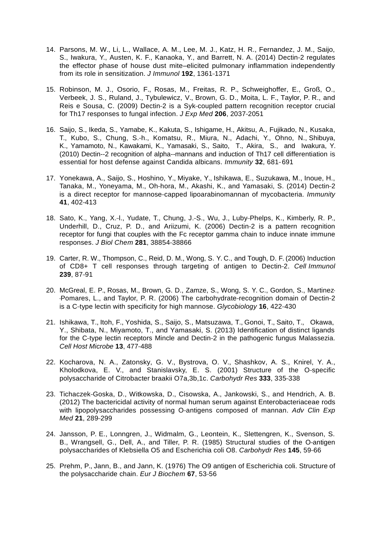- 14. Parsons, M. W., Li, L., Wallace, A. M., Lee, M. J., Katz, H. R., Fernandez, J. M., Saijo, S., Iwakura, Y., Austen, K. F., Kanaoka, Y., and Barrett, N. A. (2014) Dectin-2 regulates the effector phase of house dust mite–elicited pulmonary inflammation independently from its role in sensitization. *J Immunol* **192**, 1361--1371
- 15. Robinson, M. J., Osorio, F., Rosas, M., Freitas, R. P., Schweighoffer, E., Groß, O., Verbeek, J. S., Ruland, J., Tybulewicz, V., Brown, G. D., Moita, L. F., Taylor, P. R., and Reis e Sousa, C. (2009) Dectin-2 is a Syk-coupled pattern recognition receptor crucial for Th17 responses to fungal infection. *J Exp Med* **206**, 2037--2051
- 16. Saijo, S., Ikeda, S., Yamabe, K., Kakuta, S., Ishigame, H., Akitsu, A., Fujikado, N., Kusaka, T., Kubo, S., Chung, S.-h., Komatsu, R., Miura, N., Adachi, Y., Ohno, N., Shibuya, K., Yamamoto, N., Kawakami, K., Yamasaki, S., Saito, T., Akira, S., and Iwakura, Y. (2010) Dectin--2 recognition of alpha--mannans and induction of Th17 cell differentiation is essential for host defense against Candida albicans. *Immunity* **32**, 681-- 691
- 17. Yonekawa, A., Saijo, S., Hoshino, Y., Miyake, Y., Ishikawa, E., Suzukawa, M., Inoue, H., Tanaka, M., Yoneyama, M., Oh-hora, M., Akashi, K., and Yamasaki, S. (2014) Dectin-2 is a direct receptor for mannose--capped lipoarabinomannan of mycobacteria. *Immunity*  **41**, 402--413
- 18. Sato, K., Yang, X.-I., Yudate, T., Chung, J.-S., Wu, J., Luby-Phelps, K., Kimberly, R. P., Underhill, D., Cruz, P. D., and Ariizumi, K. (2006) Dectin--2 is a pattern recognition receptor for fungi that couples with the Fc receptor gamma chain to induce innate immune responses. *J Biol Chem* **281**, 38854--38866
- 19. Carter, R. W., Thompson, C., Reid, D. M., Wong, S. Y. C., and Tough, D. F. (2006) Induction of CD8+ T cell responses through targeting of antigen to Dectin-2. Cell Immunol **239**, 87--91
- 20. McGreal, E. P., Rosas, M., Brown, G. D., Zamze, S., Wong, S. Y. C., Gordon, S., Martinez- -Pomares, L., and Taylor, P. R. (2006) The carbohydrate--recognition domain of Dectin--2 is a C--type lectin with specificity for high mannose. *Glycobiology* **16**, 422--430
- 21. Ishikawa, T., Itoh, F., Yoshida, S., Saijo, S., Matsuzawa, T., Gonoi, T., Saito, T., Okawa, Y., Shibata, N., Miyamoto, T., and Yamasaki, S. (2013) Identification of distinct ligands for the C-type lectin receptors Mincle and Dectin-2 in the pathogenic fungus Malassezia. *Cell Host Microbe* **13**, 477--488
- 22. Kocharova, N. A., Zatonsky, G. V., Bystrova, O. V., Shashkov, A. S., Knirel, Y. A., Kholodkova, E. V., and Stanislavsky, E. S. (2001) Structure of the O-specific polysaccharide of Citrobacter braakii O7a,3b,1c. *Carbohydr Res* **333**, 335--338
- 23. Tichaczek--Goska, D., Witkowska, D., Cisowska, A., Jankowski, S., and Hendrich, A. B. (2012) The bactericidal activity of normal human serum against Enterobacteriaceae rods with lipopolysaccharides possessing O-antigens composed of mannan. Adv Clin Exp *Med* **21**, 289--299
- 24. Jansson, P. E., Lonngren, J., Widmalm, G., Leontein, K., Slettengren, K., Svenson, S. B., Wrangsell, G., Dell, A., and Tiller, P. R. (1985) Structural studies of the O-antigen polysaccharides of Klebsiella O5 and Escherichia coli O8. *Carbohydr Res* **145**, 59--66
- 25. Prehm, P., Jann, B., and Jann, K. (1976) The O9 antigen of Escherichia coli. Structure of the polysaccharide chain. *Eur J Biochem* **67**, 53--56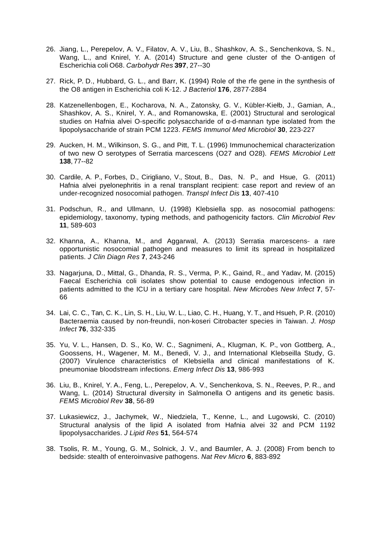- 26. Jiang, L., Perepelov, A. V., Filatov, A. V., Liu, B., Shashkov, A. S., Senchenkova, S. N., Wang, L., and Knirel, Y. A. (2014) Structure and gene cluster of the O-antigen of Escherichia coli O68. *Carbohydr Res* **397**, 27--30
- 27. Rick, P. D., Hubbard, G. L., and Barr, K. (1994) Role of the rfe gene in the synthesis of the O8 antigen in Escherichia coli K--12. *J Bacteriol* **176**, 2877--2884
- 28. Katzenellenbogen, E., Kocharova, N. A., Zatonsky, G. V., Kübler--Kiełb, J., Gamian, A., Shashkov, A. S., Knirel, Y. A., and Romanowska, E. (2001) Structural and serological studies on Hafnia alvei O-specific polysaccharide of α-d-mannan type isolated from the lipopolysaccharide of strain PCM 1223. *FEMS Immunol Med Microbiol* **30**, 223--227
- 29. Aucken, H. M., Wilkinson, S. G., and Pitt, T. L. (1996) Immunochemical characterization of two new O serotypes of Serratia marcescens (O27 and O28). *FEMS Microbiol Lett*  **138**, 77--82
- 30. Cardile, A. P., Forbes, D., Cirigliano, V., Stout, B., Das, N. P., and Hsue, G. (2011) Hafnia alvei pyelonephritis in a renal transplant recipient: case report and review of an under--recognized nosocomial pathogen. *Transpl Infect Dis* **13**, 407--410
- 31. Podschun, R., and Ullmann, U. (1998) Klebsiella spp. as nosocomial pathogens: epidemiology, taxonomy, typing methods, and pathogenicity factors. *Clin Microbiol Rev*  **11**, 589--603
- 32. Khanna, A., Khanna, M., and Aggarwal, A. (2013) Serratia marcescens- a rare opportunistic nosocomial pathogen and measures to limit its spread in hospitalized patients. *J Clin Diagn Res* **7**, 243--246
- 33. Nagarjuna, D., Mittal, G., Dhanda, R. S., Verma, P. K., Gaind, R., and Yadav, M. (2015) Faecal Escherichia coli isolates show potential to cause endogenous infection in patients admitted to the ICU in a tertiary care hospital. *New Microbes New Infect* **7**, 57-- 66
- 34. Lai, C. C., Tan, C. K., Lin, S. H., Liu, W. L., Liao, C. H., Huang, Y. T., and Hsueh, P. R. (2010) Bacteraemia caused by non-freundii, non-koseri Citrobacter species in Taiwan. *J. Hosp Infect* **76**, 332--335
- 35. Yu, V. L., Hansen, D. S., Ko, W. C., Sagnimeni, A., Klugman, K. P., von Gottberg, A., Goossens, H., Wagener, M. M., Benedi, V. J., and International Klebseilla Study, G. (2007) Virulence characteristics of Klebsiella and clinical manifestations of K. pneumoniae bloodstream infections. *Emerg Infect Dis* **13**, 986--993
- 36. Liu, B., Knirel, Y. A., Feng, L., Perepelov, A. V., Senchenkova, S. N., Reeves, P. R., and Wang, L. (2014) Structural diversity in Salmonella O antigens and its genetic basis. *FEMS Microbiol Rev* **38**, 56--89
- 37. Lukasiewicz, J., Jachymek, W., Niedziela, T., Kenne, L., and Lugowski, C. (2010) Structural analysis of the lipid A isolated from Hafnia alvei 32 and PCM 1192 lipopolysaccharides. *J Lipid Res* **51**, 564--574
- 38. Tsolis, R. M., Young, G. M., Solnick, J. V., and Baumler, A. J. (2008) From bench to bedside: stealth of enteroinvasive pathogens. *Nat Rev Micro* **6**, 883--892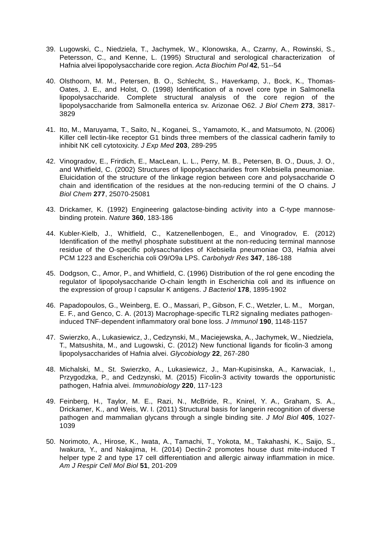- 39. Lugowski, C., Niedziela, T., Jachymek, W., Klonowska, A., Czarny, A., Rowinski, S., Petersson, C., and Kenne, L. (1995) Structural and serological characterization of Hafnia alvei lipopolysaccharide core region. *Acta Biochim Pol* **42**, 51--54
- 40. Olsthoorn, M. M., Petersen, B. O., Schlecht, S., Haverkamp, J., Bock, K., Thomas-- Oates, J. E., and Holst, O. (1998) Identification of a novel core type in Salmonella lipopolysaccharide. Complete structural analysis of the core region of the lipopolysaccharide from Salmonella enterica sv. Arizonae O62. *J Biol Chem* **273**, 3817-- 3829
- 41. Ito, M., Maruyama, T., Saito, N., Koganei, S., Yamamoto, K., and Matsumoto, N. (2006) Killer cell lectin-like receptor G1 binds three members of the classical cadherin family to inhibit NK cell cytotoxicity. *J Exp Med* **203**, 289--295
- 42. Vinogradov, E., Frirdich, E., MacLean, L. L., Perry, M. B., Petersen, B. O., Duus, J. O., and Whitfield, C. (2002) Structures of lipopolysaccharides from Klebsiella pneumoniae. Eluicidation of the structure of the linkage region between core and polysaccharide O chain and identification of the residues at the non--reducing termini of the O chains. *J Biol Chem* **277**, 25070--25081
- 43. Drickamer, K. (1992) Engineering galactose-binding activity into a C-type mannosebinding protein. *Nature* **360**, 183--186
- 44. Kubler-Kielb, J., Whitfield, C., Katzenellenbogen, E., and Vinogradov, E. (2012) Identification of the methyl phosphate substituent at the non-reducing terminal mannose residue of the O-specific polysaccharides of Klebsiella pneumoniae O3, Hafnia alvei PCM 1223 and Escherichia coli O9/O9a LPS. *Carbohydr Res* **347**, 186--188
- 45. Dodgson, C., Amor, P., and Whitfield, C. (1996) Distribution of the rol gene encoding the regulator of lipopolysaccharide O--chain length in Escherichia coli and its influence on the expression of group I capsular K antigens. *J Bacteriol* **178**, 1895--1902
- 46. Papadopoulos, G., Weinberg, E. O., Massari, P., Gibson, F. C., Wetzler, L. M., Morgan, E. F., and Genco, C. A. (2013) Macrophage--specific TLR2 signaling mediates pathogen- induced TNF--dependent inflammatory oral bone loss. *J Immunol* **190**, 1148--1157
- 47. Swierzko, A., Lukasiewicz, J., Cedzynski, M., Maciejewska, A., Jachymek, W., Niedziela, T., Matsushita, M., and Lugowski, C. (2012) New functional ligands for ficolin--3 among lipopolysaccharides of Hafnia alvei. *Glycobiology* **22**, 267--280
- 48. Michalski, M., St. Swierzko, A., Lukasiewicz, J., Man--Kupisinska, A., Karwaciak, I., Przygodzka, P., and Cedzynski, M. (2015) Ficolin-3 activity towards the opportunistic pathogen, Hafnia alvei. *Immunobiology* **220**, 117--123
- 49. Feinberg, H., Taylor, M. E., Razi, N., McBride, R., Knirel, Y. A., Graham, S. A., Drickamer, K., and Weis, W. I. (2011) Structural basis for langerin recognition of diverse pathogen and mammalian glycans through a single binding site. *J Mol Biol* **405**, 1027-- 1039
- 50. Norimoto, A., Hirose, K., Iwata, A., Tamachi, T., Yokota, M., Takahashi, K., Saijo, S., Iwakura, Y., and Nakajima, H. (2014) Dectin-2 promotes house dust mite-induced T helper type 2 and type 17 cell differentiation and allergic airway inflammation in mice. *Am J Respir Cell Mol Biol* **51**, 201--209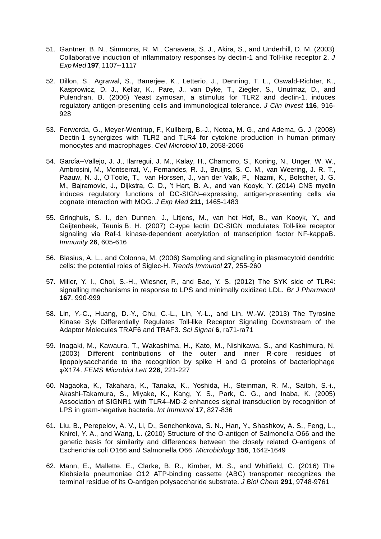- 51. Gantner, B. N., Simmons, R. M., Canavera, S. J., Akira, S., and Underhill, D. M. (2003) Collaborative induction of inflammatory responses by dectin--1 and Toll--like receptor 2. *J Exp Med* **197**, 1107--1117
- 52. Dillon, S., Agrawal, S., Banerjee, K., Letterio, J., Denning, T. L., Oswald-Richter, K., Kasprowicz, D. J., Kellar, K., Pare, J., van Dyke, T., Ziegler, S., Unutmaz, D., and Pulendran, B. (2006) Yeast zymosan, a stimulus for TLR2 and dectin-1, induces regulatory antigen--presenting cells and immunological tolerance. *J Clin Invest* **116**, 916-- 928
- 53. Ferwerda, G., Meyer-Wentrup, F., Kullberg, B.-J., Netea, M. G., and Adema, G. J. (2008) Dectin-1 synergizes with TLR2 and TLR4 for cytokine production in human primary monocytes and macrophages. *Cell Microbiol* **10**, 2058--2066
- 54. García--Vallejo, J. J., Ilarregui, J. M., Kalay, H., Chamorro, S., Koning, N., Unger, W. W., Ambrosini, M., Montserrat, V., Fernandes, R. J., Bruijns, S. C. M., van Weering, J. R. T., Paauw, N. J., O'Toole, T., van Horssen, J., van der Valk, P., Nazmi, K., Bolscher, J. G. M., Bajramovic, J., Dijkstra, C. D., 't Hart, B. A., and van Kooyk, Y. (2014) CNS myelin induces regulatory functions of DC-SIGN–expressing, antigen-presenting cells via cognate interaction with MOG. *J Exp Med* **211**, 1465--1483
- 55. Gringhuis, S. I., den Dunnen, J., Litjens, M., van het Hof, B., van Kooyk, Y., and Geijtenbeek, Teunis B. H. (2007) C-type lectin DC-SIGN modulates Toll-like receptor signaling via Raf-1 kinase-dependent acetylation of transcription factor NF-kappaB. *Immunity* **26**, 605--616
- 56. Blasius, A. L., and Colonna, M. (2006) Sampling and signaling in plasmacytoid dendritic cells: the potential roles of Siglec--H. *Trends Immunol* **27**, 255--260
- 57. Miller, Y. I., Choi, S.-H., Wiesner, P., and Bae, Y. S. (2012) The SYK side of TLR4: signalling mechanisms in response to LPS and minimally oxidized LDL. *Br J Pharmacol*  **167**, 990--999
- 58. Lin, Y.-C., Huang, D.-Y., Chu, C.-L., Lin, Y.-L., and Lin, W.-W. (2013) The Tyrosine Kinase Syk Differentially Regulates Toll-like Receptor Signaling Downstream of the Adaptor Molecules TRAF6 and TRAF3. *Sci Signal* **6**, ra71--ra71
- 59. Inagaki, M., Kawaura, T., Wakashima, H., Kato, M., Nishikawa, S., and Kashimura, N. (2003) Different contributions of the outer and inner R--core residues of lipopolysaccharide to the recognition by spike H and G proteins of bacteriophage φX174. *FEMS Microbiol Lett* **226**, 221--227
- 60. Nagaoka, K., Takahara, K., Tanaka, K., Yoshida, H., Steinman, R. M., Saitoh, S.-i., Akashi--Takamura, S., Miyake, K., Kang, Y. S., Park, C. G., and Inaba, K. (2005) Association of SIGNR1 with TLR4–MD-2 enhances signal transduction by recognition of LPS in gram-negative bacteria. *Int Immunol* 17, 827-836
- 61. Liu, B., Perepelov, A. V., Li, D., Senchenkova, S. N., Han, Y., Shashkov, A. S., Feng, L., Knirel, Y. A., and Wang, L. (2010) Structure of the O-antigen of Salmonella O66 and the genetic basis for similarity and differences between the closely related O-antigens of Escherichia coli O166 and Salmonella O66. *Microbiology* **156**, 1642--1649
- 62. Mann, E., Mallette, E., Clarke, B. R., Kimber, M. S., and Whitfield, C. (2016) The Klebsiella pneumoniae O12 ATP--binding cassette (ABC) transporter recognizes the terminal residue of its O--antigen polysaccharide substrate. *J Biol Chem* **291**, 9748--9761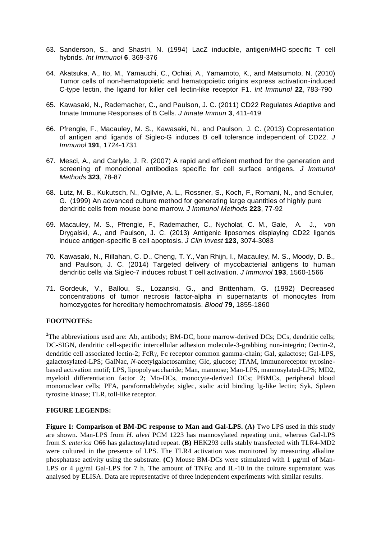- 63. Sanderson, S., and Shastri, N. (1994) LacZ inducible, antigen/MHC--specific T cell hybrids. *Int Immunol* **6**, 369--376
- 64. Akatsuka, A., Ito, M., Yamauchi, C., Ochiai, A., Yamamoto, K., and Matsumoto, N. (2010) Tumor cells of non--hematopoietic and hematopoietic origins express activation-- induced C--type lectin, the ligand for killer cell lectin--like receptor F1. *Int Immunol* **22**, 783--790
- 65. Kawasaki, N., Rademacher, C., and Paulson, J. C. (2011) CD22 Regulates Adaptive and Innate Immune Responses of B Cells. *J Innate Immun* **3**, 411--419
- 66. Pfrengle, F., Macauley, M. S., Kawasaki, N., and Paulson, J. C. (2013) Copresentation of antigen and ligands of Siglec--G induces B cell tolerance independent of CD22. *J Immunol* **191**, 1724--1731
- 67. Mesci, A., and Carlyle, J. R. (2007) A rapid and efficient method for the generation and screening of monoclonal antibodies specific for cell surface antigens. *J Immunol Methods* **323**, 78--87
- 68. Lutz, M. B., Kukutsch, N., Ogilvie, A. L., Rossner, S., Koch, F., Romani, N., and Schuler, G. (1999) An advanced culture method for generating large quantities of highly pure dendritic cells from mouse bone marrow. *J Immunol Methods* **223**, 77--92
- 69. Macauley, M. S., Pfrengle, F., Rademacher, C., Nycholat, C. M., Gale, A. J., von Drygalski, A., and Paulson, J. C. (2013) Antigenic liposomes displaying CD22 ligands induce antigen--specific B cell apoptosis. *J Clin Invest* **123**, 3074--3083
- 70. Kawasaki, N., Rillahan, C. D., Cheng, T. Y., Van Rhijn, I., Macauley, M. S., Moody, D. B., and Paulson, J. C. (2014) Targeted delivery of mycobacterial antigens to human dendritic cells via Siglec--7 induces robust T cell activation. *J Immunol* **193**, 1560--1566
- 71. Gordeuk, V., Ballou, S., Lozanski, G., and Brittenham, G. (1992) Decreased concentrations of tumor necrosis factor--alpha in supernatants of monocytes from homozygotes for hereditary hemochromatosis. *Blood* **79**, 1855--1860

# **FOOTNOTES:**

<sup>2</sup>The abbreviations used are: Ab, antibody; BM-DC, bone marrow-derived DCs; DCs, dendritic cells; DC-SIGN, dendritic cell-specific intercellular adhesion molecule-3-grabbing non-integrin; Dectin-2, dendritic cell associated lectin-2; FcRy, Fc receptor common gamma-chain; Gal, galactose; Gal-LPS, galactosylated-LPS; GalNac, *N*-acetylgalactosamine; Glc, glucose; ITAM, immunoreceptor tyrosinebased activation motif; LPS, lipopolysaccharide; Man, mannose; Man-LPS, mannosylated-LPS; MD2, myeloid differentiation factor 2; Mo-DCs, monocyte-derived DCs; PBMCs, peripheral blood mononuclear cells; PFA, paraformaldehyde; siglec, sialic acid binding Ig-like lectin; Syk, Spleen tyrosine kinase; TLR, toll-like receptor.

# **FIGURE LEGENDS:**

Figure 1: Comparison of BM-DC response to Man and Gal-LPS. (A) Two LPS used in this study are shown. Man-LPS from *H. alvei* PCM 1223 has mannosylated repeating unit, whereas Gal-LPS from *S. enterica* O66 has galactosylated repeat. **(B)** HEK293 cells stably transfected with TLR4-MD2 were cultured in the presence of LPS. The TLR4 activation was monitored by measuring alkaline phosphatase activity using the substrate. **(C)** Mouse BM-DCs were stimulated with 1  $\mu$ g/ml of Man-LPS or 4  $\mu$ g/ml Gal-LPS for 7 h. The amount of TNF $\alpha$  and IL-10 in the culture supernatant was analysed by ELISA. Data are representative of three independent experiments with similar results.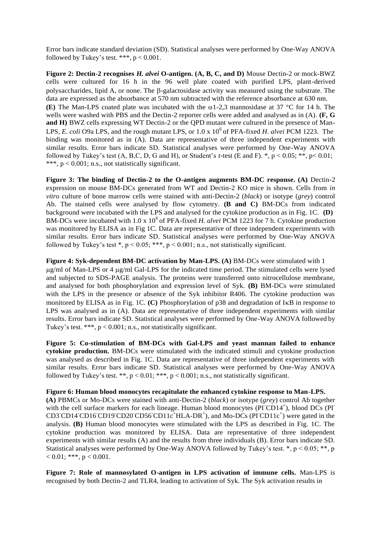Error bars indicate standard deviation (SD). Statistical analyses were performed by One-Way ANOVA followed by Tukey's test. \*\*\*,  $p < 0.001$ .

**Figure 2: Dectin-2 recognises** *H. alvei* **O-antigen. (A, B, C, and D)** Mouse Dectin-2 or mock-BWZ cells were cultured for 16 h in the 96 well plate coated with purified LPS, plant-derived polysaccharides, lipid A, or none. The  $\beta$ -galactosidase activity was measured using the substrate. The data are expressed as the absorbance at 570 nm subtracted with the reference absorbance at 630 nm. **(E)** The Man-LPS coated plate was incubated with the  $\alpha$ 1-2,3 mannosidase at 37 °C for 14 h. The wells were washed with PBS and the Dectin-2 reporter cells were added and analysed as in (A). **(F, G and H)** BWZ cells expressing WT Dectin-2 or the QPD mutant were cultured in the presence of Man-LPS, *E. coli* O9a LPS, and the rough mutant LPS, or 1.0 x 10<sup>6</sup> of PFA-fixed *H. alvei* PCM 1223. The binding was monitored as in (A). Data are representative of three independent experiments with similar results. Error bars indicate SD. Statistical analyses were performed by One-Way ANOVA followed by Tukey's test  $(A, B, C, D, G \text{ and } H)$ , or Student's *t*-test  $(E \text{ and } F)$ . \*,  $p < 0.05$ ; \*\*,  $p < 0.01$ ; \*\*\*,  $p < 0.001$ ; n.s., not statistically significant.

**Figure 3: The binding of Dectin-2 to the O-antigen augments BM-DC response. (A)** Dectin-2 expression on mouse BM-DCs generated from WT and Dectin-2 KO mice is shown. Cells from *in vitro* culture of bone marrow cells were stained with anti-Dectin-2 (*black*) or isotype (*grey*) control Ab. The stained cells were analysed by flow cytometry. **(B and C)** BM-DCs from indicated background were incubated with the LPS and analysed for the cytokine production as in Fig. 1C. **(D)** BM-DCs were incubated with 1.0 x 10<sup>6</sup> of PFA-fixed *H. alvei* PCM 1223 for 7 h. Cytokine production was monitored by ELISA as in Fig 1C. Data are representative of three independent experiments with similar results. Error bars indicate SD. Statistical analyses were performed by One-Way ANOVA followed by Tukey's test \*,  $p < 0.05$ ; \*\*\*,  $p < 0.001$ ; n.s., not statistically significant.

**Figure 4: Syk-dependent BM-DC activation by Man-LPS. (A)** BM-DCs were stimulated with 1  $\mu$ g/ml of Man-LPS or 4  $\mu$ g/ml Gal-LPS for the indicated time period. The stimulated cells were lysed and subjected to SDS-PAGE analysis. The proteins were transferred onto nitrocellulose membrane, and analysed for both phosphorylation and expression level of Syk. **(B)** BM-DCs were stimulated with the LPS in the presence or absence of the Syk inhibitor R406. The cytokine production was monitored by ELISA as in Fig. 1C. (C) Phosphorylation of p38 and degradation of I<sub>KB</sub> in response to LPS was analysed as in (A). Data are representative of three independent experiments with similar results. Error bars indicate SD. Statistical analyses were performed by One-Way ANOVA followed by Tukey's test. \*\*\*, p < 0.001; n.s., not statistically significant.

**Figure 5: Co-stimulation of BM-DCs with Gal-LPS and yeast mannan failed to enhance cytokine production.** BM-DCs were stimulated with the indicated stimuli and cytokine production was analysed as described in Fig. 1C. Data are representative of three independent experiments with similar results. Error bars indicate SD. Statistical analyses were performed by One-Way ANOVA followed by Tukey's test. \*\*,  $p < 0.01$ ; \*\*\*,  $p < 0.001$ ; n.s., not statistically significant.

### **Figure 6: Human blood monocytes recapitulate the enhanced cytokine response to Man-LPS.**

**(A)** PBMCs or Mo-DCs were stained with anti-Dectin-2 (*black*) or isotype (*grey*) control Ab together with the cell surface markers for each lineage. Human blood monocytes (PICD14<sup>+</sup>), blood DCs (PI CD3 CD14 CD16 CD19 CD20 CD56 CD11c<sup>+</sup>HLA-DR<sup>+</sup>), and Mo-DCs (PICD11c<sup>+</sup>) were gated in the analysis. **(B)** Human blood monocytes were stimulated with the LPS as described in Fig. 1C. The cytokine production was monitored by ELISA. Data are representative of three independent experiments with similar results (A) and the results from three individuals (B). Error bars indicate SD. Statistical analyses were performed by One-Way ANOVA followed by Tukey's test.  $*, p < 0.05; **, p$  $< 0.01$ ; \*\*\*, p  $< 0.001$ .

**Figure 7: Role of mannosylated O-antigen in LPS activation of immune cells.** Man-LPS is recognised by both Dectin-2 and TLR4, leading to activation of Syk. The Syk activation results in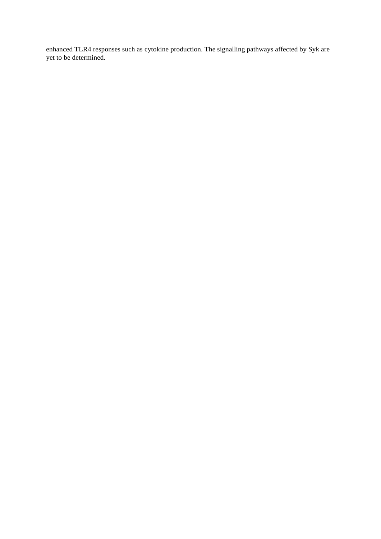enhanced TLR4 responses such as cytokine production. The signalling pathways affected by Syk are yet to be determined.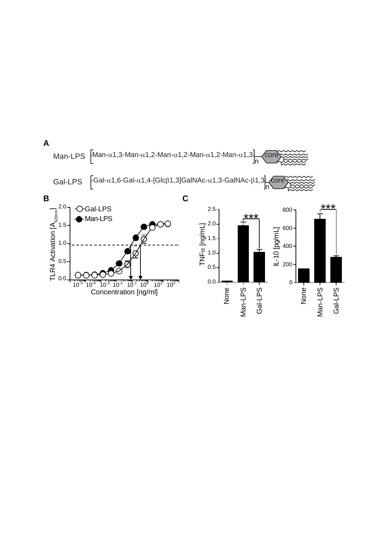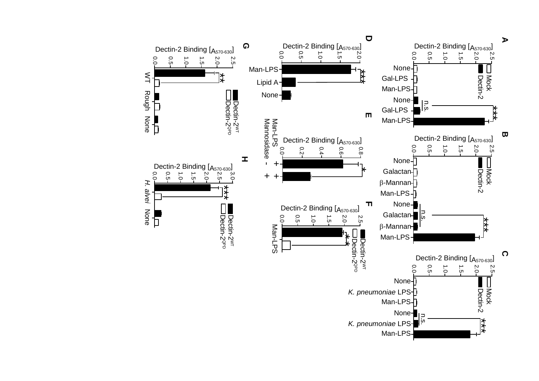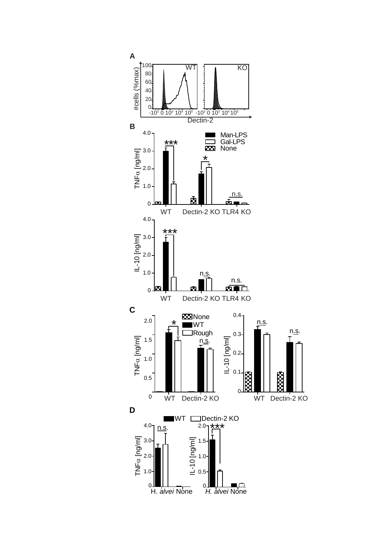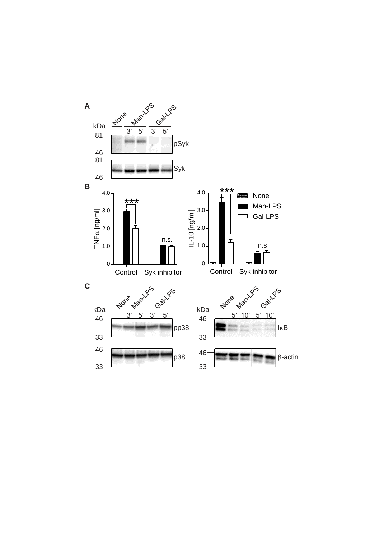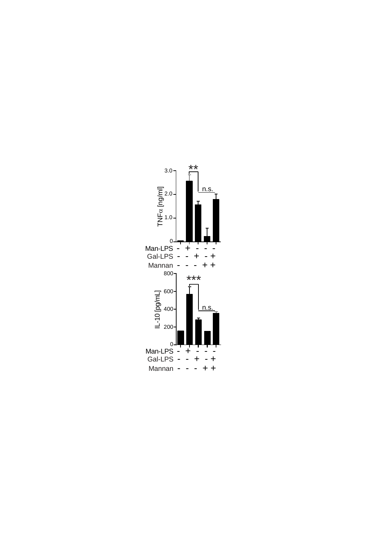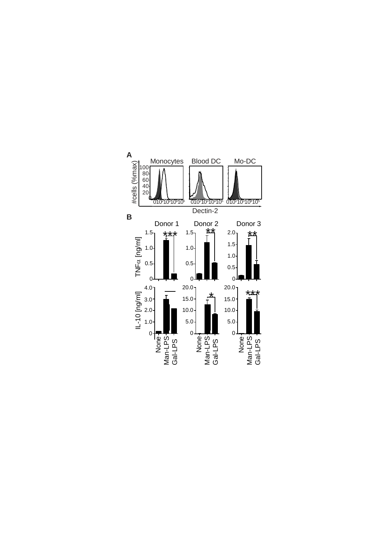